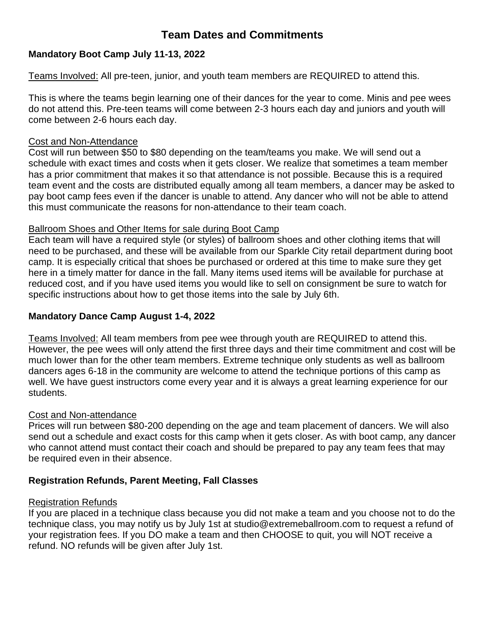# **Team Dates and Commitments**

## **Mandatory Boot Camp July 11-13, 2022**

Teams Involved: All pre-teen, junior, and youth team members are REQUIRED to attend this.

This is where the teams begin learning one of their dances for the year to come. Minis and pee wees do not attend this. Pre-teen teams will come between 2-3 hours each day and juniors and youth will come between 2-6 hours each day.

### Cost and Non-Attendance

Cost will run between \$50 to \$80 depending on the team/teams you make. We will send out a schedule with exact times and costs when it gets closer. We realize that sometimes a team member has a prior commitment that makes it so that attendance is not possible. Because this is a required team event and the costs are distributed equally among all team members, a dancer may be asked to pay boot camp fees even if the dancer is unable to attend. Any dancer who will not be able to attend this must communicate the reasons for non-attendance to their team coach.

### Ballroom Shoes and Other Items for sale during Boot Camp

Each team will have a required style (or styles) of ballroom shoes and other clothing items that will need to be purchased, and these will be available from our Sparkle City retail department during boot camp. It is especially critical that shoes be purchased or ordered at this time to make sure they get here in a timely matter for dance in the fall. Many items used items will be available for purchase at reduced cost, and if you have used items you would like to sell on consignment be sure to watch for specific instructions about how to get those items into the sale by July 6th.

## **Mandatory Dance Camp August 1-4, 2022**

Teams Involved: All team members from pee wee through youth are REQUIRED to attend this. However, the pee wees will only attend the first three days and their time commitment and cost will be much lower than for the other team members. Extreme technique only students as well as ballroom dancers ages 6-18 in the community are welcome to attend the technique portions of this camp as well. We have guest instructors come every year and it is always a great learning experience for our students.

## Cost and Non-attendance

Prices will run between \$80-200 depending on the age and team placement of dancers. We will also send out a schedule and exact costs for this camp when it gets closer. As with boot camp, any dancer who cannot attend must contact their coach and should be prepared to pay any team fees that may be required even in their absence.

## **Registration Refunds, Parent Meeting, Fall Classes**

## Registration Refunds

If you are placed in a technique class because you did not make a team and you choose not to do the technique class, you may notify us by July 1st at studio@extremeballroom.com to request a refund of your registration fees. If you DO make a team and then CHOOSE to quit, you will NOT receive a refund. NO refunds will be given after July 1st.